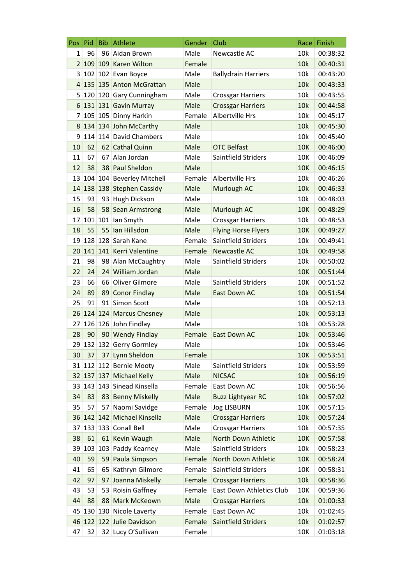| Pos            | Pid        | <b>Bib</b> | Athlete                      | Gender | Club                       | Race       | Finish   |
|----------------|------------|------------|------------------------------|--------|----------------------------|------------|----------|
| $\mathbf{1}$   | 96         |            | 96 Aidan Brown               | Male   | Newcastle AC               | 10k        | 00:38:32 |
| $\overline{2}$ |            |            | 109 109 Karen Wilton         | Female |                            | 10k        | 00:40:31 |
| 3              |            |            | 102 102 Evan Boyce           | Male   | <b>Ballydrain Harriers</b> | 10k        | 00:43:20 |
|                |            |            | 4 135 135 Anton McGrattan    | Male   |                            | 10k        | 00:43:33 |
|                |            |            | 5 120 120 Gary Cunningham    | Male   | <b>Crossgar Harriers</b>   | 10k        | 00:43:55 |
| 6              |            |            | 131 131 Gavin Murray         | Male   | <b>Crossgar Harriers</b>   | 10k        | 00:44:58 |
| 7              |            |            | 105 105 Dinny Harkin         | Female | Albertville Hrs            | 10k        | 00:45:17 |
| 8              |            |            | 134 134 John McCarthy        | Male   |                            | 10k        | 00:45:30 |
| 9              |            |            | 114 114 David Chambers       | Male   |                            | 10k        | 00:45:40 |
| 10             | 62         |            | 62 Cathal Quinn              | Male   | <b>OTC Belfast</b>         | <b>10K</b> | 00:46:00 |
| 11             | 67         | 67         | Alan Jordan                  | Male   | Saintfield Striders        | 10K        | 00:46:09 |
| 12             | 38         |            | 38 Paul Sheldon              | Male   |                            | <b>10K</b> | 00:46:15 |
|                |            |            | 13 104 104 Beverley Mitchell | Female | Albertville Hrs            | 10k        | 00:46:26 |
|                |            |            | 14 138 138 Stephen Cassidy   | Male   | Murlough AC                | 10k        | 00:46:33 |
| 15             | 93         |            | 93 Hugh Dickson              | Male   |                            | 10k        | 00:48:03 |
| 16             | 58         |            | 58 Sean Armstrong            | Male   | Murlough AC                | <b>10K</b> | 00:48:29 |
| 17             |            |            | 101 101 Ian Smyth            | Male   | <b>Crossgar Harriers</b>   | 10k        | 00:48:53 |
| 18             | 55         | 55         | lan Hillsdon                 | Male   | <b>Flying Horse Flyers</b> | <b>10K</b> | 00:49:27 |
|                |            |            | 19 128 128 Sarah Kane        | Female | Saintfield Striders        | 10k        | 00:49:41 |
|                |            |            | 20 141 141 Kerri Valentine   | Female | <b>Newcastle AC</b>        | 10k        | 00:49:58 |
| 21             | 98         |            | 98 Alan McCaughtry           | Male   | Saintfield Striders        | 10k        | 00:50:02 |
| 22             | 24         |            | 24 William Jordan            | Male   |                            | <b>10K</b> | 00:51:44 |
| 23             | 66         |            | 66 Oliver Gilmore            | Male   | Saintfield Striders        | 10K        | 00:51:52 |
| 24             | 89         |            | 89 Conor Findlay             | Male   | <b>East Down AC</b>        | 10k        | 00:51:54 |
| 25             | 91         |            | 91 Simon Scott               | Male   |                            | 10k        | 00:52:13 |
| 26             |            |            | 124 124 Marcus Chesney       | Male   |                            | 10k        | 00:53:13 |
| 27             |            |            | 126 126 John Findlay         | Male   |                            | 10k        | 00:53:28 |
| 28             | 90         |            | 90 Wendy Findlay             | Female | East Down AC               | 10k        | 00:53:46 |
|                |            |            | 29 132 132 Gerry Gormley     | Male   |                            | 10k        | 00:53:46 |
| 30             | 37         | 37         | Lynn Sheldon                 | Female |                            | <b>10K</b> | 00:53:51 |
|                |            |            | 31 112 112 Bernie Mooty      | Male   | Saintfield Striders        | 10k        | 00:53:59 |
|                | 32 137 137 |            | <b>Michael Kelly</b>         | Male   | <b>NICSAC</b>              | 10k        | 00:56:19 |
|                |            |            | 33 143 143 Sinead Kinsella   | Female | East Down AC               | 10k        | 00:56:56 |
| 34             | 83         | 83         | <b>Benny Miskelly</b>        | Male   | <b>Buzz Lightyear RC</b>   | 10k        | 00:57:02 |
| 35             | 57         | 57         | Naomi Savidge                | Female | <b>Jog LISBURN</b>         | 10K        | 00:57:15 |
| 36             |            | 142 142    | Michael Kinsella             | Male   | <b>Crossgar Harriers</b>   | 10k        | 00:57:24 |
| 37             |            |            | 133 133 Conall Bell          | Male   | <b>Crossgar Harriers</b>   | 10k        | 00:57:35 |
| 38             | 61         |            | 61 Kevin Waugh               | Male   | North Down Athletic        | <b>10K</b> | 00:57:58 |
| 39             |            |            | 103 103 Paddy Kearney        | Male   | Saintfield Striders        | 10k        | 00:58:23 |
| 40             | 59         | 59         | Paula Simpson                | Female | North Down Athletic        | <b>10K</b> | 00:58:24 |
| 41             | 65         | 65         | Kathryn Gilmore              | Female | Saintfield Striders        | 10K        | 00:58:31 |
| 42             | 97         | 97         | Joanna Miskelly              | Female | <b>Crossgar Harriers</b>   | 10k        | 00:58:36 |
| 43             | 53         |            | 53 Roisin Gaffney            | Female | East Down Athletics Club   | 10K        | 00:59:36 |
| 44             | 88         | 88         | Mark McKeown                 | Male   | <b>Crossgar Harriers</b>   | 10k        | 01:00:33 |
| 45             | 130        |            | 130 Nicole Laverty           | Female | East Down AC               | 10k        | 01:02:45 |
| 46             |            |            | 122 122 Julie Davidson       | Female | Saintfield Striders        | 10k        | 01:02:57 |
| 47             | 32         |            | 32 Lucy O'Sullivan           | Female |                            | 10K        | 01:03:18 |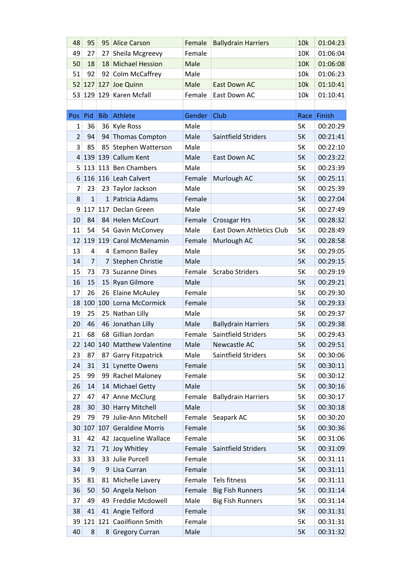| 48              | 95             |            | 95 Alice Carson              | Female | <b>Ballydrain Harriers</b> | 10k        | 01:04:23    |
|-----------------|----------------|------------|------------------------------|--------|----------------------------|------------|-------------|
| 49              | 27             | 27         | Sheila Mcgreevy              | Female |                            | 10K        | 01:06:04    |
| 50              | 18             |            | 18 Michael Hession           | Male   |                            | <b>10K</b> | 01:06:08    |
| 51              | 92             |            | 92 Colm McCaffrey            | Male   |                            | 10k        | 01:06:23    |
|                 |                |            | 52 127 127 Joe Quinn         | Male   | East Down AC               | 10k        | 01:10:41    |
|                 |                |            | 53 129 129 Karen Mcfall      | Female | East Down AC               | 10k        | 01:10:41    |
|                 |                |            |                              |        |                            |            |             |
| Pos             | Pid            | <b>Bib</b> | Athlete                      | Gender | Club                       |            | Race Finish |
| 1               | 36             |            | 36 Kyle Ross                 | Male   |                            | 5K         | 00:20:29    |
| $\overline{2}$  | 94             |            | 94 Thomas Compton            | Male   | Saintfield Striders        | 5K         | 00:21:41    |
| 3               | 85             | 85         | Stephen Watterson            | Male   |                            | 5K         | 00:22:10    |
| 4               |                |            | 139 139 Callum Kent          | Male   | East Down AC               | 5K         | 00:23:22    |
|                 |                |            | 5 113 113 Ben Chambers       | Male   |                            | 5K         | 00:23:39    |
| 6 <sup>1</sup>  |                |            | 116 116 Leah Calvert         | Female | Murlough AC                | 5K         | 00:25:11    |
| 7               | 23             | 23         | Taylor Jackson               | Male   |                            | 5K         | 00:25:39    |
| 8               | $\overline{1}$ |            | 1 Patricia Adams             | Female |                            | 5K         | 00:27:04    |
| 9               | 117 117        |            | Declan Green                 | Male   |                            | 5K         | 00:27:49    |
| 10              | 84             |            | 84 Helen McCourt             | Female | <b>Crossgar Hrs</b>        | 5K         | 00:28:32    |
| 11              | 54             |            | 54 Gavin McConvey            | Male   | East Down Athletics Club   | 5K         | 00:28:49    |
|                 |                |            | 12 119 119 Carol McMenamin   | Female | Murlough AC                | 5K         | 00:28:58    |
| 13              | 4              |            | 4 Eamonn Bailey              | Male   |                            | 5K         | 00:29:05    |
| 14              | $\overline{7}$ | 7          | Stephen Christie             | Male   |                            | 5K         | 00:29:15    |
| 15              | 73             | 73         | <b>Suzanne Dines</b>         | Female | <b>Scrabo Striders</b>     | 5K         | 00:29:19    |
| 16              | 15             | 15         | <b>Ryan Gilmore</b>          | Male   |                            | 5K         | 00:29:21    |
| 17              | 26             |            | 26 Elaine McAuley            | Female |                            | 5K         | 00:29:30    |
| 18              |                |            | 100 100 Lorna McCormick      | Female |                            | 5K         | 00:29:33    |
| 19              | 25             | 25         | Nathan Lilly                 | Male   |                            | 5K         | 00:29:37    |
| 20              | 46             |            | 46 Jonathan Lilly            | Male   | <b>Ballydrain Harriers</b> | 5K         | 00:29:38    |
| 21              | 68             |            | 68 Gillian Jordan            | Female | Saintfield Striders        | 5K         | 00:29:43    |
|                 |                |            | 22 140 140 Matthew Valentine | Male   | Newcastle AC               | 5K         | 00:29:51    |
| 23              | 87             |            | 87 Garry Fitzpatrick         | Male   | Saintfield Striders        | 5K         | 00:30:06    |
| 24              | 31             |            | 31 Lynette Owens             | Female |                            | 5K         | 00:30:11    |
| 25              | 99             |            | 99 Rachel Maloney            | Female |                            | 5K         | 00:30:12    |
| 26              | 14             |            | 14 Michael Getty             | Male   |                            | 5K         | 00:30:16    |
| 27              | 47             | 47         | Anne McClurg                 | Female | <b>Ballydrain Harriers</b> | 5K         | 00:30:17    |
| 28              | 30             |            | 30 Harry Mitchell            | Male   |                            | 5K         | 00:30:18    |
| 29              | 79             | 79         | Julie-Ann Mitchell           | Female | Seapark AC                 | 5K         | 00:30:20    |
| 30 <sup>2</sup> |                |            | 107 107 Geraldine Morris     | Female |                            | 5K         | 00:30:36    |
| 31              | 42             |            | 42 Jacqueline Wallace        | Female |                            | 5K         | 00:31:06    |
| 32              | 71             |            | 71 Joy Whitley               | Female | Saintfield Striders        | 5K         | 00:31:09    |
| 33              | 33             |            | 33 Julie Purcell             | Female |                            | 5K         | 00:31:11    |
| 34              | 9              |            | 9 Lisa Curran                | Female |                            | 5K         | 00:31:11    |
| 35              | 81             |            | 81 Michelle Lavery           | Female | Tels fitness               | 5K         | 00:31:11    |
| 36              | 50             |            | 50 Angela Nelson             | Female | <b>Big Fish Runners</b>    | 5K         | 00:31:14    |
| 37              | 49             |            | 49 Freddie Mcdowell          | Male   | <b>Big Fish Runners</b>    | 5K         | 00:31:14    |
| 38              | 41             |            | 41 Angie Telford             | Female |                            | 5K         | 00:31:31    |
| 39 <sup>2</sup> |                |            | 121 121 Caoilfionn Smith     | Female |                            | 5K         | 00:31:31    |
| 40              | 8              |            | 8 Gregory Curran             | Male   |                            | 5K         | 00:31:32    |